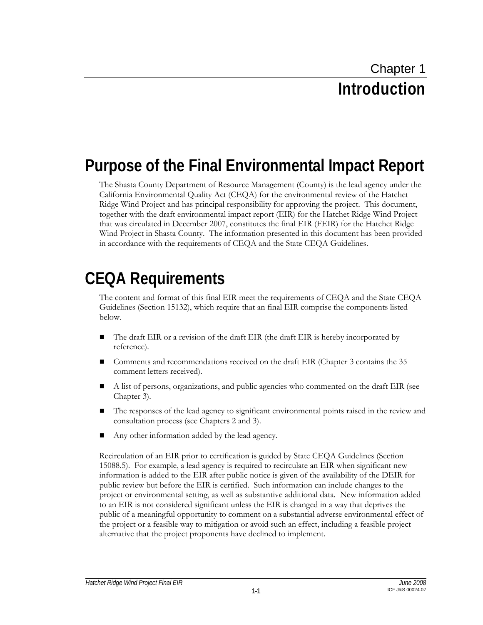## **Purpose of the Final Environmental Impact Report**

The Shasta County Department of Resource Management (County) is the lead agency under the California Environmental Quality Act (CEQA) for the environmental review of the Hatchet Ridge Wind Project and has principal responsibility for approving the project. This document, together with the draft environmental impact report (EIR) for the Hatchet Ridge Wind Project that was circulated in December 2007, constitutes the final EIR (FEIR) for the Hatchet Ridge Wind Project in Shasta County. The information presented in this document has been provided in accordance with the requirements of CEQA and the State CEQA Guidelines.

## **CEQA Requirements**

The content and format of this final EIR meet the requirements of CEQA and the State CEQA Guidelines (Section 15132), which require that an final EIR comprise the components listed below.

- The draft EIR or a revision of the draft EIR (the draft EIR is hereby incorporated by reference).
- Comments and recommendations received on the draft EIR (Chapter 3 contains the 35 comment letters received).
- A list of persons, organizations, and public agencies who commented on the draft EIR (see Chapter 3).
- The responses of the lead agency to significant environmental points raised in the review and consultation process (see Chapters 2 and 3).
- Any other information added by the lead agency.

Recirculation of an EIR prior to certification is guided by State CEQA Guidelines (Section 15088.5). For example, a lead agency is required to recirculate an EIR when significant new information is added to the EIR after public notice is given of the availability of the DEIR for public review but before the EIR is certified. Such information can include changes to the project or environmental setting, as well as substantive additional data. New information added to an EIR is not considered significant unless the EIR is changed in a way that deprives the public of a meaningful opportunity to comment on a substantial adverse environmental effect of the project or a feasible way to mitigation or avoid such an effect, including a feasible project alternative that the project proponents have declined to implement.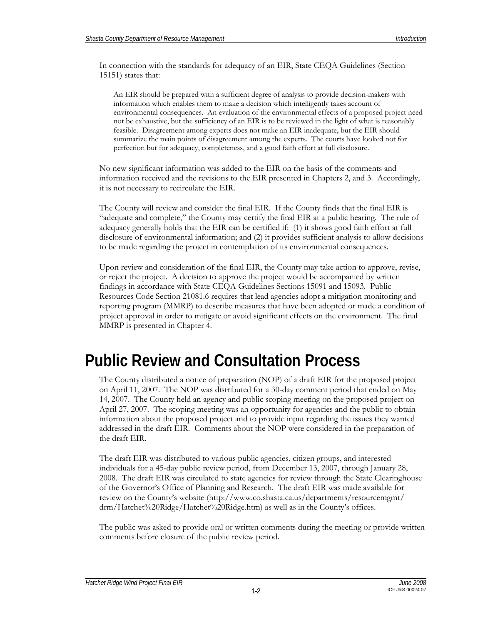In connection with the standards for adequacy of an EIR, State CEQA Guidelines (Section 15151) states that:

An EIR should be prepared with a sufficient degree of analysis to provide decision-makers with information which enables them to make a decision which intelligently takes account of environmental consequences. An evaluation of the environmental effects of a proposed project need not be exhaustive, but the sufficiency of an EIR is to be reviewed in the light of what is reasonably feasible. Disagreement among experts does not make an EIR inadequate, but the EIR should summarize the main points of disagreement among the experts. The courts have looked not for perfection but for adequacy, completeness, and a good faith effort at full disclosure.

No new significant information was added to the EIR on the basis of the comments and information received and the revisions to the EIR presented in Chapters 2, and 3. Accordingly, it is not necessary to recirculate the EIR.

The County will review and consider the final EIR. If the County finds that the final EIR is "adequate and complete," the County may certify the final EIR at a public hearing. The rule of adequacy generally holds that the EIR can be certified if: (1) it shows good faith effort at full disclosure of environmental information; and (2) it provides sufficient analysis to allow decisions to be made regarding the project in contemplation of its environmental consequences.

Upon review and consideration of the final EIR, the County may take action to approve, revise, or reject the project. A decision to approve the project would be accompanied by written findings in accordance with State CEQA Guidelines Sections 15091 and 15093. Public Resources Code Section 21081.6 requires that lead agencies adopt a mitigation monitoring and reporting program (MMRP) to describe measures that have been adopted or made a condition of project approval in order to mitigate or avoid significant effects on the environment. The final MMRP is presented in Chapter 4.

## **Public Review and Consultation Process**

The County distributed a notice of preparation (NOP) of a draft EIR for the proposed project on April 11, 2007. The NOP was distributed for a 30-day comment period that ended on May 14, 2007. The County held an agency and public scoping meeting on the proposed project on April 27, 2007. The scoping meeting was an opportunity for agencies and the public to obtain information about the proposed project and to provide input regarding the issues they wanted addressed in the draft EIR. Comments about the NOP were considered in the preparation of the draft EIR.

The draft EIR was distributed to various public agencies, citizen groups, and interested individuals for a 45-day public review period, from December 13, 2007, through January 28, 2008. The draft EIR was circulated to state agencies for review through the State Clearinghouse of the Governor's Office of Planning and Research. The draft EIR was made available for review on the County's website (http://www.co.shasta.ca.us/departments/resourcemgmt/ drm/Hatchet%20Ridge/Hatchet%20Ridge.htm) as well as in the County's offices.

The public was asked to provide oral or written comments during the meeting or provide written comments before closure of the public review period.